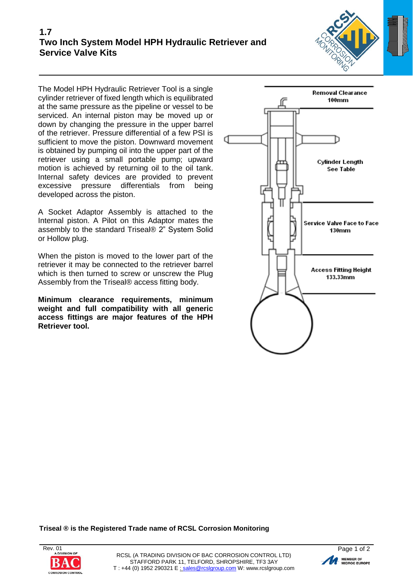

The Model HPH Hydraulic Retriever Tool is a single cylinder retriever of fixed length which is equilibrated at the same pressure as the pipeline or vessel to be serviced. An internal piston may be moved up or down by changing the pressure in the upper barrel of the retriever. Pressure differential of a few PSI is sufficient to move the piston. Downward movement is obtained by pumping oil into the upper part of the retriever using a small portable pump; upward motion is achieved by returning oil to the oil tank. Internal safety devices are provided to prevent excessive pressure differentials from being developed across the piston.

A Socket Adaptor Assembly is attached to the Internal piston. A Pilot on this Adaptor mates the assembly to the standard Triseal® 2" System Solid or Hollow plug.

When the piston is moved to the lower part of the retriever it may be connected to the retriever barrel which is then turned to screw or unscrew the Plug Assembly from the Triseal® access fitting body.

**Minimum clearance requirements, minimum weight and full compatibility with all generic access fittings are major features of the HPH Retriever tool.**



**Triseal ® is the Registered Trade name of RCSL Corrosion Monitoring**